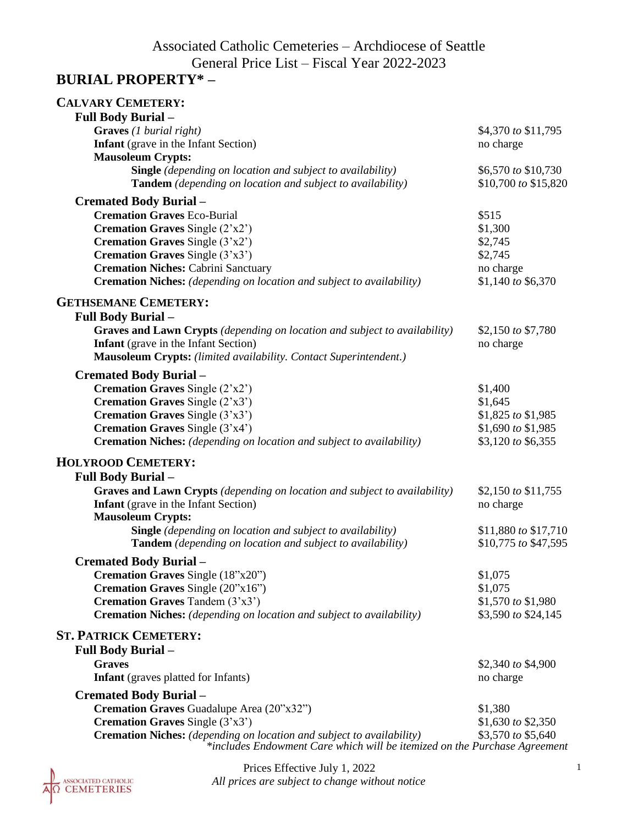# Associated Catholic Cemeteries – Archdiocese of Seattle General Price List – Fiscal Year 2022-2023

### **BURIAL PROPERTY\* –**

| <b>CALVARY CEMETERY:</b>                                                     |                      |
|------------------------------------------------------------------------------|----------------------|
| <b>Full Body Burial -</b>                                                    |                      |
| Graves (1 burial right)                                                      | \$4,370 to \$11,795  |
| <b>Infant</b> (grave in the Infant Section)                                  | no charge            |
| <b>Mausoleum Crypts:</b>                                                     |                      |
| <b>Single</b> (depending on location and subject to availability)            | \$6,570 to \$10,730  |
| <b>Tandem</b> (depending on location and subject to availability)            | \$10,700 to \$15,820 |
| <b>Cremated Body Burial -</b>                                                |                      |
| <b>Cremation Graves Eco-Burial</b>                                           | \$515                |
| <b>Cremation Graves</b> Single $(2'x2')$                                     | \$1,300              |
| <b>Cremation Graves</b> Single $(3'x2')$                                     | \$2,745              |
| <b>Cremation Graves</b> Single $(3'x3')$                                     | \$2,745              |
| <b>Cremation Niches: Cabrini Sanctuary</b>                                   | no charge            |
| <b>Cremation Niches:</b> (depending on location and subject to availability) | \$1,140 to \$6,370   |
| <b>GETHSEMANE CEMETERY:</b>                                                  |                      |
| <b>Full Body Burial -</b>                                                    |                      |
| Graves and Lawn Crypts (depending on location and subject to availability)   | \$2,150 to \$7,780   |
| <b>Infant</b> (grave in the Infant Section)                                  | no charge            |
| <b>Mausoleum Crypts:</b> (limited availability. Contact Superintendent.)     |                      |
| <b>Cremated Body Burial -</b>                                                |                      |
| Cremation Graves Single (2'x2')                                              | \$1,400              |
| <b>Cremation Graves</b> Single $(2'x3')$                                     | \$1,645              |
| <b>Cremation Graves</b> Single $(3'x3')$                                     | \$1,825 to \$1,985   |
| Cremation Graves Single (3'x4')                                              | \$1,690 to \$1,985   |
| <b>Cremation Niches:</b> (depending on location and subject to availability) | \$3,120 to \$6,355   |
| <b>HOLYROOD CEMETERY:</b>                                                    |                      |
| <b>Full Body Burial -</b>                                                    |                      |
| Graves and Lawn Crypts (depending on location and subject to availability)   | \$2,150 to \$11,755  |
| <b>Infant</b> (grave in the Infant Section)                                  | no charge            |
| <b>Mausoleum Crypts:</b>                                                     |                      |
| <b>Single</b> (depending on location and subject to availability)            | \$11,880 to \$17,710 |
| Tandem (depending on location and subject to availability)                   | \$10,775 to \$47,595 |
| <b>Cremated Body Burial -</b>                                                |                      |
| Cremation Graves Single (18"x20")                                            | \$1,075              |
| Cremation Graves Single (20"x16")                                            | \$1,075              |
| Cremation Graves Tandem (3'x3')                                              | \$1,570 to \$1,980   |
| <b>Cremation Niches:</b> (depending on location and subject to availability) | \$3,590 to \$24,145  |
| <b>ST. PATRICK CEMETERY:</b>                                                 |                      |
| <b>Full Body Burial -</b>                                                    |                      |
| <b>Graves</b>                                                                | \$2,340 to \$4,900   |
| <b>Infant</b> (graves platted for Infants)                                   | no charge            |
| <b>Cremated Body Burial -</b>                                                |                      |
| Cremation Graves Guadalupe Area (20"x32")                                    | \$1,380              |
| <b>Cremation Graves</b> Single $(3'x3')$                                     | \$1,630 to \$2,350   |
| <b>Cremation Niches:</b> (depending on location and subject to availability) | \$3,570 to \$5,640   |
| *includes Endowment Care which will be itemized on the Purchase Agreement    |                      |

ASSOCIATED CATHOLIC<br>CEMETERIES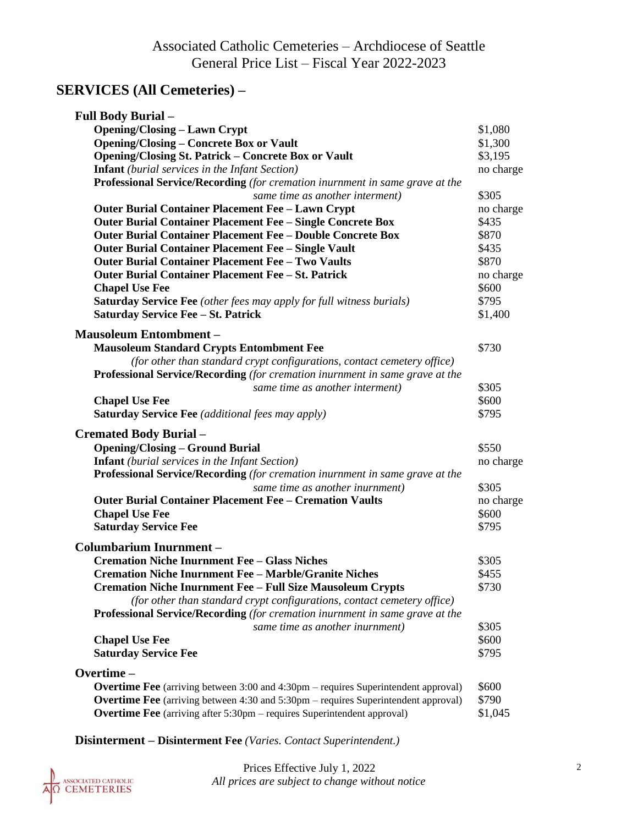# **SERVICES (All Cemeteries) –**

| <b>Full Body Burial -</b>                                                                 |           |
|-------------------------------------------------------------------------------------------|-----------|
| <b>Opening/Closing - Lawn Crypt</b>                                                       | \$1,080   |
| <b>Opening/Closing – Concrete Box or Vault</b>                                            | \$1,300   |
| <b>Opening/Closing St. Patrick - Concrete Box or Vault</b>                                | \$3,195   |
| <b>Infant</b> (burial services in the Infant Section)                                     | no charge |
| Professional Service/Recording (for cremation inurnment in same grave at the              |           |
| same time as another interment)                                                           | \$305     |
| <b>Outer Burial Container Placement Fee - Lawn Crypt</b>                                  | no charge |
| <b>Outer Burial Container Placement Fee - Single Concrete Box</b>                         | \$435     |
| <b>Outer Burial Container Placement Fee - Double Concrete Box</b>                         | \$870     |
| Outer Burial Container Placement Fee - Single Vault                                       | \$435     |
| <b>Outer Burial Container Placement Fee - Two Vaults</b>                                  | \$870     |
| Outer Burial Container Placement Fee - St. Patrick                                        | no charge |
| <b>Chapel Use Fee</b>                                                                     | \$600     |
| Saturday Service Fee (other fees may apply for full witness burials)                      | \$795     |
| <b>Saturday Service Fee - St. Patrick</b>                                                 | \$1,400   |
|                                                                                           |           |
| <b>Mausoleum Entombment -</b>                                                             |           |
| <b>Mausoleum Standard Crypts Entombment Fee</b>                                           | \$730     |
| (for other than standard crypt configurations, contact cemetery office)                   |           |
| Professional Service/Recording (for cremation inurnment in same grave at the              |           |
| same time as another interment)                                                           | \$305     |
| <b>Chapel Use Fee</b>                                                                     | \$600     |
| Saturday Service Fee (additional fees may apply)                                          | \$795     |
| <b>Cremated Body Burial -</b>                                                             |           |
| <b>Opening/Closing - Ground Burial</b>                                                    | \$550     |
| <b>Infant</b> (burial services in the Infant Section)                                     | no charge |
| Professional Service/Recording (for cremation inurnment in same grave at the              |           |
| same time as another inurnment)                                                           | \$305     |
| <b>Outer Burial Container Placement Fee - Cremation Vaults</b>                            | no charge |
| <b>Chapel Use Fee</b>                                                                     | \$600     |
| <b>Saturday Service Fee</b>                                                               | \$795     |
|                                                                                           |           |
| <b>Columbarium Inurnment -</b>                                                            |           |
| <b>Cremation Niche Inurnment Fee - Glass Niches</b>                                       | \$305     |
| <b>Cremation Niche Inurnment Fee - Marble/Granite Niches</b>                              | \$455     |
| <b>Cremation Niche Inurnment Fee - Full Size Mausoleum Crypts</b>                         | \$730     |
| (for other than standard crypt configurations, contact cemetery office)                   |           |
| <b>Professional Service/Recording</b> (for cremation inurnment in same grave at the       |           |
| same time as another inurnment)                                                           | \$305     |
| <b>Chapel Use Fee</b>                                                                     | \$600     |
| <b>Saturday Service Fee</b>                                                               | \$795     |
| Overtime-                                                                                 |           |
| <b>Overtime Fee</b> (arriving between 3:00 and 4:30pm – requires Superintendent approval) | \$600     |
| <b>Overtime Fee</b> (arriving between 4:30 and 5:30pm – requires Superintendent approval) | \$790     |
| <b>Overtime Fee</b> (arriving after 5:30pm – requires Superintendent approval)            | \$1,045   |
|                                                                                           |           |

**Disinterment – Disinterment Fee** *(Varies. Contact Superintendent.)*

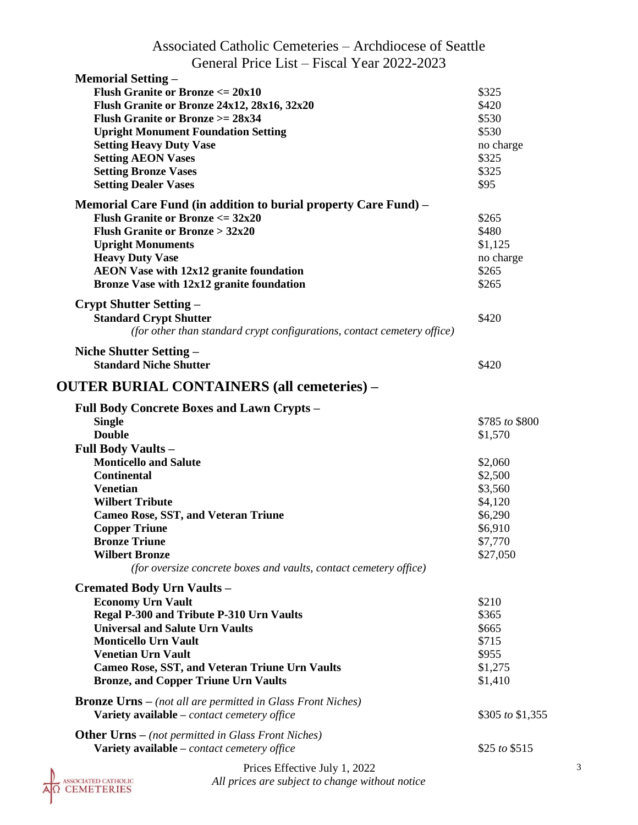| Associated Catholic Cemeteries – Archdiocese of Seattle                 |                  |
|-------------------------------------------------------------------------|------------------|
| General Price List – Fiscal Year 2022-2023                              |                  |
| <b>Memorial Setting –</b>                                               |                  |
| <b>Flush Granite or Bronze</b> $\leq$ 20x10                             | \$325            |
| Flush Granite or Bronze 24x12, 28x16, 32x20                             | \$420            |
| <b>Flush Granite or Bronze</b> $>= 28x34$                               | \$530            |
| <b>Upright Monument Foundation Setting</b>                              | \$530            |
| <b>Setting Heavy Duty Vase</b>                                          | no charge        |
| <b>Setting AEON Vases</b>                                               | \$325            |
| <b>Setting Bronze Vases</b>                                             | \$325            |
| <b>Setting Dealer Vases</b>                                             | \$95             |
| Memorial Care Fund (in addition to burial property Care Fund) –         |                  |
| <b>Flush Granite or Bronze</b> $\leq$ 32x20                             | \$265            |
| <b>Flush Granite or Bronze &gt; <math>32x20</math></b>                  | \$480            |
|                                                                         |                  |
| <b>Upright Monuments</b>                                                | \$1,125          |
| <b>Heavy Duty Vase</b>                                                  | no charge        |
| <b>AEON Vase with 12x12 granite foundation</b>                          | \$265            |
| Bronze Vase with 12x12 granite foundation                               | \$265            |
| Crypt Shutter Setting –                                                 |                  |
| <b>Standard Crypt Shutter</b>                                           | \$420            |
| (for other than standard crypt configurations, contact cemetery office) |                  |
| Niche Shutter Setting -                                                 |                  |
| <b>Standard Niche Shutter</b>                                           | \$420            |
|                                                                         |                  |
| <b>OUTER BURIAL CONTAINERS (all cemeteries) –</b>                       |                  |
| <b>Full Body Concrete Boxes and Lawn Crypts -</b>                       |                  |
| <b>Single</b>                                                           | \$785 to \$800   |
| <b>Double</b>                                                           | \$1,570          |
| Full Body Vaults-                                                       |                  |
| <b>Monticello and Salute</b>                                            | \$2,060          |
| <b>Continental</b>                                                      | \$2,500          |
| <b>Venetian</b>                                                         | \$3,560          |
|                                                                         |                  |
| <b>Wilbert Tribute</b>                                                  | \$4,120          |
| <b>Cameo Rose, SST, and Veteran Triune</b>                              | \$6,290          |
| <b>Copper Triune</b>                                                    | \$6,910          |
| <b>Bronze Triune</b>                                                    | \$7,770          |
| <b>Wilbert Bronze</b>                                                   | \$27,050         |
| (for oversize concrete boxes and vaults, contact cemetery office)       |                  |
| <b>Cremated Body Urn Vaults -</b>                                       |                  |
| <b>Economy Urn Vault</b>                                                | \$210            |
| Regal P-300 and Tribute P-310 Urn Vaults                                | \$365            |
| <b>Universal and Salute Urn Vaults</b>                                  | \$665            |
| <b>Monticello Urn Vault</b>                                             | \$715            |
| <b>Venetian Urn Vault</b>                                               | \$955            |
| <b>Cameo Rose, SST, and Veteran Triune Urn Vaults</b>                   | \$1,275          |
| <b>Bronze, and Copper Triune Urn Vaults</b>                             | \$1,410          |
|                                                                         |                  |
| <b>Bronze Urns</b> – (not all are permitted in Glass Front Niches)      |                  |
| Variety available - contact cemetery office                             | \$305 to \$1,355 |
| <b>Other Urns</b> – (not permitted in Glass Front Niches)               |                  |
| Variety available - contact cemetery office                             | \$25 to \$515    |
| Price <i>Effective</i> Iulv 1 2022                                      |                  |
|                                                                         |                  |

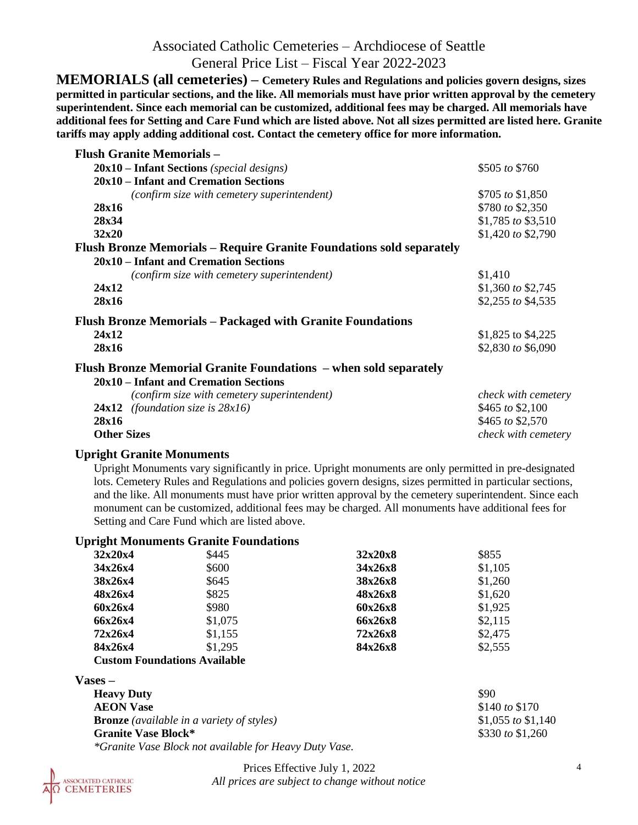### Associated Catholic Cemeteries – Archdiocese of Seattle General Price List – Fiscal Year 2022-2023

**MEMORIALS (all cemeteries) – Cemetery Rules and Regulations and policies govern designs, sizes permitted in particular sections, and the like. All memorials must have prior written approval by the cemetery superintendent. Since each memorial can be customized, additional fees may be charged. All memorials have additional fees for Setting and Care Fund which are listed above. Not all sizes permitted are listed here. Granite tariffs may apply adding additional cost. Contact the cemetery office for more information.**

| <b>Flush Granite Memorials –</b>                                     |                     |
|----------------------------------------------------------------------|---------------------|
| $20x10$ – Infant Sections (special designs)                          | \$505 to \$760      |
| 20x10 – Infant and Cremation Sections                                |                     |
| (confirm size with cemetery superintendent)                          | \$705 to \$1,850    |
| 28x16                                                                | \$780 to \$2,350    |
| 28x34                                                                | \$1,785 to \$3,510  |
| 32x20                                                                | \$1,420 to \$2,790  |
| Flush Bronze Memorials - Require Granite Foundations sold separately |                     |
| 20x10 – Infant and Cremation Sections                                |                     |
| (confirm size with cemetery superintendent)                          | \$1,410             |
| 24x12                                                                | \$1,360 to \$2,745  |
| 28x16                                                                | \$2,255 to \$4,535  |
| <b>Flush Bronze Memorials - Packaged with Granite Foundations</b>    |                     |
| 24x12                                                                | \$1,825 to \$4,225  |
| 28x16                                                                | \$2,830 to \$6,090  |
| Flush Bronze Memorial Granite Foundations – when sold separately     |                     |
| 20x10 – Infant and Cremation Sections                                |                     |
| (confirm size with cemetery superintendent)                          | check with cemetery |
| 24x12<br>(foundation size is $28x16$ )                               | \$465 to \$2,100    |
| 28x16                                                                | \$465 to \$2,570    |

**Other Sizes** *check with cemetery check with cemetery* 

#### **Upright Granite Monuments**

Upright Monuments vary significantly in price. Upright monuments are only permitted in pre-designated lots. Cemetery Rules and Regulations and policies govern designs, sizes permitted in particular sections, and the like. All monuments must have prior written approval by the cemetery superintendent. Since each monument can be customized, additional fees may be charged. All monuments have additional fees for Setting and Care Fund which are listed above.

#### **Upright Monuments Granite Foundations**

| 32x20x4 | \$445   | 32x20x8 | \$855   |
|---------|---------|---------|---------|
| 34x26x4 | \$600   | 34x26x8 | \$1,105 |
| 38x26x4 | \$645   | 38x26x8 | \$1,260 |
| 48x26x4 | \$825   | 48x26x8 | \$1,620 |
| 60x26x4 | \$980   | 60x26x8 | \$1,925 |
| 66x26x4 | \$1,075 | 66x26x8 | \$2,115 |
| 72x26x4 | \$1,155 | 72x26x8 | \$2,475 |
| 84x26x4 | \$1,295 | 84x26x8 | \$2,555 |
|         |         |         |         |

#### **Custom Foundations Available**

| $Vases -$                                                     |                    |
|---------------------------------------------------------------|--------------------|
| <b>Heavy Duty</b>                                             | \$90               |
| <b>AEON Vase</b>                                              | \$140 to \$170     |
| <b>Bronze</b> (available in a variety of styles)              | \$1,055 to \$1,140 |
| <b>Granite Vase Block*</b>                                    | \$330 to $$1,260$  |
| <i>*Granite Vase Block not available for Heavy Duty Vase.</i> |                    |